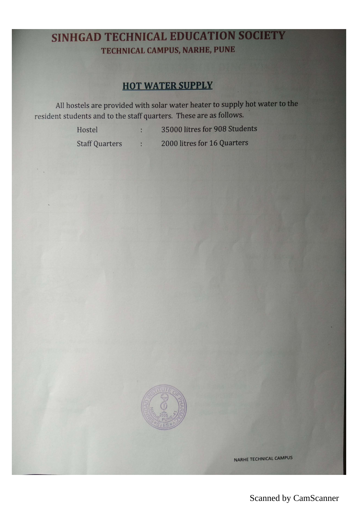## SINHGAD TECHNICAL EDUCATION SOCIETY TECHNICAL CAMPUS, NARHE, PUNE

## **HOT WATER SUPPLY**

All hostels are provided with solar water heater to supply not resident students and to the staff quarters. These are as follows.

Hostel : 35000 litres for 908 Students

Staff Quarters : 2000 litres for 16 Quarters



NARHE TECHNICAL CAMPUS

## Scanned by CamScanner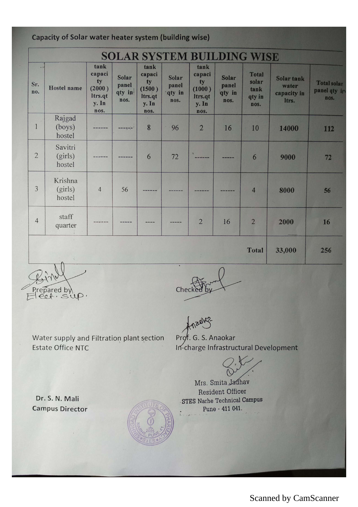|  |  |  | Capacity of Solar water heater system (building wise) |  |
|--|--|--|-------------------------------------------------------|--|
|  |  |  |                                                       |  |

| <b>SOLAR SYSTEM BUILDING WISE</b> |                              |                                                            |                                  |                                                            |                                  |                                                            |                                         |                                                 |                                             |                                            |
|-----------------------------------|------------------------------|------------------------------------------------------------|----------------------------------|------------------------------------------------------------|----------------------------------|------------------------------------------------------------|-----------------------------------------|-------------------------------------------------|---------------------------------------------|--------------------------------------------|
| Sr.<br>no.                        | <b>Hostel name</b>           | tank<br>capaci<br>ty<br>(2000)<br>ltrs.qt<br>y. In<br>nos. | Solar<br>panel<br>qty in<br>nos. | tank<br>capaci<br>ty<br>(1500)<br>Itrs.qt<br>y. In<br>nos. | Solar<br>panel<br>gty in<br>nos. | tank<br>capaci<br>ty<br>(1000)<br>Itrs.qt<br>y. In<br>nos. | <b>Solar</b><br>panel<br>qty in<br>nos. | <b>Total</b><br>solar<br>tank<br>qty in<br>nos. | Solar tank<br>water<br>capacity in<br>ltrs. | <b>Total solar</b><br>panel qty ir<br>nos. |
| 1                                 | Rajgad<br>(boys)<br>hostel   |                                                            | ------                           | 8                                                          | 96                               | $\overline{2}$                                             | 16                                      | 10                                              | 14000                                       | 112                                        |
| $\overline{2}$                    | Savitri<br>(girls)<br>hostel |                                                            |                                  | 6                                                          | 72                               |                                                            |                                         | 6                                               | 9000                                        | 72                                         |
| 3                                 | Krishna<br>(girls)<br>hostel | $\overline{4}$                                             | 56                               |                                                            |                                  |                                                            |                                         | $\overline{4}$                                  | 8000                                        | 56                                         |
| $\overline{4}$                    | staff<br>quarter             |                                                            |                                  |                                                            |                                  | $\overline{2}$                                             | 16                                      | $\overline{2}$                                  | 2000                                        | 16                                         |
|                                   |                              |                                                            |                                  |                                                            |                                  |                                                            |                                         | Total                                           | 33,000                                      | 256                                        |

Bin 1

.<br>Cheo

Water supply and Filtration plant section **Estate Office NTC** 

 $\mathcal{P}^{\text{obs}}$ Prof. G. S. Anaokar In-charge Infrastructural Development

Mrs. Smita Jadhav

Resident Officer STES Narhe Technical Campus Pune - 411 041.

Dr. S. N. Mali Campus Director